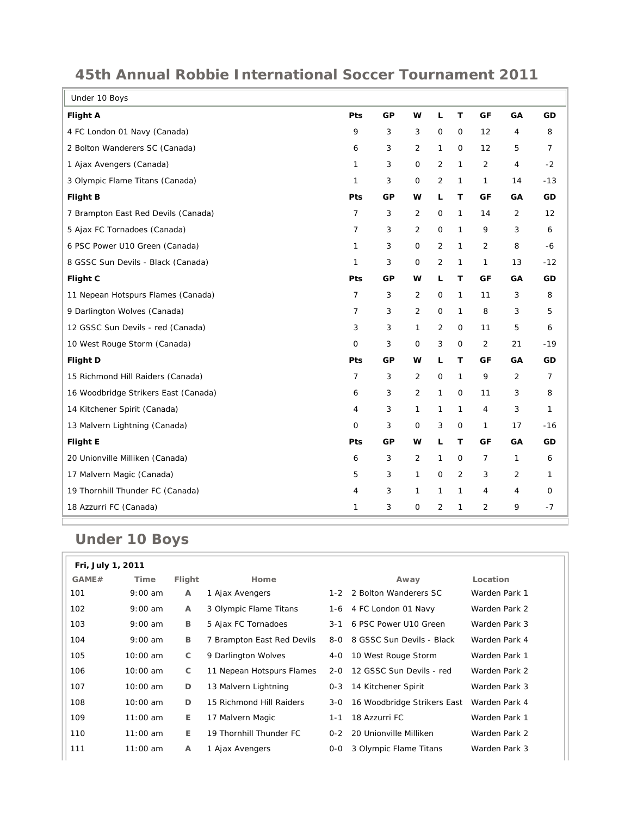| Under 10 Boys                        |                |    |                |                |              |                   |                |              |
|--------------------------------------|----------------|----|----------------|----------------|--------------|-------------------|----------------|--------------|
| <b>Flight A</b>                      | Pts            | GP | W              | L              | T            | GF                | GA             | GD           |
| 4 FC London 01 Navy (Canada)         | 9              | 3  | 3              | 0              | 0            | $12 \overline{ }$ | 4              | 8            |
| 2 Bolton Wanderers SC (Canada)       | 6              | 3  | 2              | 1              | $\mathbf{O}$ | 12                | 5              | 7            |
| 1 Ajax Avengers (Canada)             | $\mathbf{1}$   | 3  | $\mathbf 0$    | $\overline{2}$ | $\mathbf{1}$ | 2                 | $\overline{4}$ | $-2$         |
| 3 Olympic Flame Titans (Canada)      | 1              | 3  | $\mathsf{O}$   | $\overline{2}$ | 1            | $\mathbf{1}$      | 14             | $-13$        |
| <b>Flight B</b>                      | Pts            | GP | w              | L.             | т            | GF                | GA             | GD           |
| 7 Brampton East Red Devils (Canada)  | $\overline{7}$ | 3  | 2              | 0              | $\mathbf{1}$ | 14                | 2              | 12           |
| 5 Ajax FC Tornadoes (Canada)         | 7              | 3  | 2              | $\mathsf O$    | $\mathbf{1}$ | 9                 | 3              | 6            |
| 6 PSC Power U10 Green (Canada)       | 1              | 3  | $\mathbf 0$    | 2              | $\mathbf{1}$ | 2                 | 8              | -6           |
| 8 GSSC Sun Devils - Black (Canada)   | 1              | 3  | 0              | 2              | 1            | 1                 | 13             | $-12$        |
| <b>Flight C</b>                      | Pts            | GP | w              | L              | Т            | GF                | GA             | GD           |
| 11 Nepean Hotspurs Flames (Canada)   | $\overline{7}$ | 3  | 2              | $\mathsf{O}$   | $\mathbf{1}$ | 11                | 3              | 8            |
| 9 Darlington Wolves (Canada)         | $\overline{7}$ | 3  | 2              | $\mathsf{O}$   | $\mathbf{1}$ | 8                 | 3              | 5            |
| 12 GSSC Sun Devils - red (Canada)    | 3              | 3  | $\mathbf{1}$   | $\overline{2}$ | 0            | 11                | 5              | 6            |
| 10 West Rouge Storm (Canada)         | $\mathbf 0$    | 3  | 0              | 3              | $\mathsf O$  | 2                 | 21             | $-19$        |
| <b>Flight D</b>                      | Pts            | GP | W              | Г              | T            | GF                | GA             | GD           |
| 15 Richmond Hill Raiders (Canada)    | $\overline{7}$ | 3  | 2              | $\mathsf{O}$   | $\mathbf{1}$ | 9                 | 2              | 7            |
| 16 Woodbridge Strikers East (Canada) | 6              | 3  | $\overline{2}$ | $\mathbf{1}$   | 0            | 11                | 3              | 8            |
| 14 Kitchener Spirit (Canada)         | 4              | 3  | $\mathbf{1}$   | 1              | $\mathbf{1}$ | 4                 | 3              | $\mathbf{1}$ |
| 13 Malvern Lightning (Canada)        | $\circ$        | 3  | $\mathbf 0$    | 3              | $\mathbf{O}$ | 1                 | 17             | $-16$        |
| <b>Flight E</b>                      | Pts            | GP | w              | Г              | Т            | GF                | GA             | GD           |
| 20 Unionville Milliken (Canada)      | 6              | 3  | 2              | 1              | 0            | 7                 | 1              | 6            |
| 17 Malvern Magic (Canada)            | 5              | 3  | $\mathbf{1}$   | $\mathsf{O}$   | 2            | 3                 | 2              | 1            |
| 19 Thornhill Thunder FC (Canada)     | 4              | 3  | 1              | $\mathbf{1}$   | $\mathbf{1}$ | 4                 | 4              | 0            |
| 18 Azzurri FC (Canada)               | 1              | 3  | 0              | 2              | 1            | 2                 | 9              | $-7$         |

## **45th Annual Robbie International Soccer Tournament 2011**

## **Under 10 Boys**

|       | Fri, July 1, 2011 |        |                            |         |                             |               |  |  |  |
|-------|-------------------|--------|----------------------------|---------|-----------------------------|---------------|--|--|--|
| GAME# | Time              | Flight | Home                       |         | Away                        | Location      |  |  |  |
| 101   | $9:00$ am         | A      | 1 Ajax Avengers            | $1 - 2$ | 2 Bolton Wanderers SC       | Warden Park 1 |  |  |  |
| 102   | $9:00$ am         | A      | 3 Olympic Flame Titans     |         | 1-6 4 FC London 01 Navy     | Warden Park 2 |  |  |  |
| 103   | $9:00$ am         | В      | 5 Ajax FC Tornadoes        | $3 - 1$ | 6 PSC Power U10 Green       | Warden Park 3 |  |  |  |
| 104   | $9:00$ am         | В      | 7 Brampton East Red Devils | 8-0     | 8 GSSC Sun Devils - Black   | Warden Park 4 |  |  |  |
| 105   | $10:00$ am        | C      | 9 Darlington Wolves        | 4-0     | 10 West Rouge Storm         | Warden Park 1 |  |  |  |
| 106   | $10:00$ am        | С      | 11 Nepean Hotspurs Flames  | $2 - 0$ | 12 GSSC Sun Devils - red    | Warden Park 2 |  |  |  |
| 107   | $10:00$ am        | D      | 13 Malvern Lightning       | $0 - 3$ | 14 Kitchener Spirit         | Warden Park 3 |  |  |  |
| 108   | $10:00$ am        | D      | 15 Richmond Hill Raiders   | $3-0$   | 16 Woodbridge Strikers East | Warden Park 4 |  |  |  |
| 109   | $11:00$ am        | Е      | 17 Malvern Magic           | $1 - 1$ | 18 Azzurri FC               | Warden Park 1 |  |  |  |
| 110   | $11:00$ am        | E.     | 19 Thornhill Thunder FC    | $0 - 2$ | 20 Unionville Milliken      | Warden Park 2 |  |  |  |
| 111   | $11:00$ am        | A      | 1 Ajax Avengers            | $0-0$   | 3 Olympic Flame Titans      | Warden Park 3 |  |  |  |